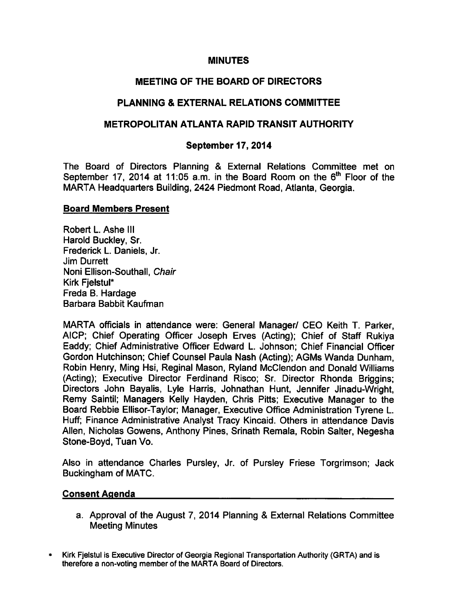#### MINUTES

## MEETING OF THE BOARD OF DIRECTORS

## PLANNING & EXTERNAL RELATIONS COMMITTEE

## METROPOLITAN ATLANTA RAPID TRANSIT AUTHORITY

### September 17, 2014

The Board of Directors Planning & External Relations Committee met on September 17, 2014 at 11:05 a.m. in the Board Room on the  $6<sup>th</sup>$  Floor of the MARTA Headquarters Building, 2424 Piedmont Road, Atlanta, Georgia.

#### Board Members Present

Robert L. Ashe III Harold Buckley, Sr. Frederick L. Daniels, Jr. Jim Durrett Noni Ellison-Southall, Chair Kirk FjelstuI\* Freda B. Hardage Barbara Babbit Kaufman

MARTA officials in attendance were: General Manager/ CEO Keith T. Parker, AICP; Chief Operating Officer Joseph Erves (Acting); Chief of Staff Rukiya Eaddy; Chief Administrative Officer Edward L. Johnson; Chief Financial Officer Gordon Hutchinson; Chief Counsel Paula Nash (Acting); AGMs Wanda Dunham, Robin Henry, Ming Hsi, Reginal Mason, Ryland McClendon and Donald Williams (Acting); Executive Director Ferdinand Risco; Sr. Director Rhonda Briggins; Directors John Bayalis, Lyle Harris, Johnathan Hunt, Jennifer Jinadu-Wright, Remy Saintil; Managers Kelly Hayden, Chris Pitts; Executive Manager to the Board Rebbie Ellisor-Taylor; Manager, Executive Office Administration Tyrene L. Huff; Finance Administrative Analyst Tracy Kincaid. Others in attendance Davis Allen, Nicholas Gowens, Anthony Pines, Srinath Remala, Robin Salter, Negesha Stone-Boyd, Tuan Vo.

Also in attendance Charles Pursley, Jr. of Pursley Friese Torgrimson; Jack Buckingham of MATC.

#### Consent Agenda

- a. Approval of the August 7, 2014 Planning & External Relations Committee Meeting Minutes
- Kirk Fjelstul is Executive Director of Georgia Regional Transportation Authority (GRTA) and is therefore a non-voting member of the MARTA Board of Directors.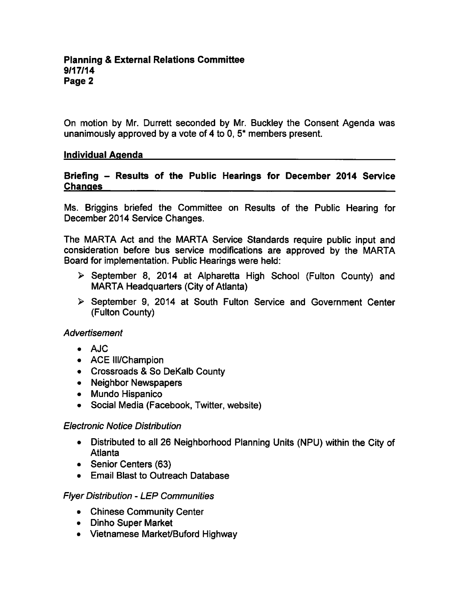On motion by Mr. Durrett seconded by Mr. Buckley the Consent Agenda was unanimously approved by a vote of 4 to 0,  $5<sup>*</sup>$  members present.

### Individual Agenda

#### Briefing - Results of the Public Hearings for December 2014 Service **Changes**

Ms. Briggins briefed the Committee on Results of the Public Hearing for December 2014 Service Changes.

The MARTA Act and the MARTA Service Standards require public input and consideration before bus service modifications are approved by the MARTA Board for implementation. Public Hearings were held:

- $\triangleright$  September 8, 2014 at Alpharetta High School (Fulton County) and MARTA Headquarters (City of Atlanta)
- $\triangleright$  September 9, 2014 at South Fulton Service and Government Center (Fulton County)

### Advertisement

- AJC
- ACE III/Champion
- Crossroads & So DeKalb County
- Neighbor Newspapers
- Mundo Hispanico
- Social Media (Facebook, Twitter, website)

### Electronic Notice Distribution

- Distributed to all 26 Neighborhood Planning Units (NPU) within the City of Atlanta
- Senior Centers (63)
- Email Blast to Outreach Database

### Flyer Distribution LEP Communities

- Chinese Community Center
- Dinho Super Market
- Vietnamese Market/Buford Highway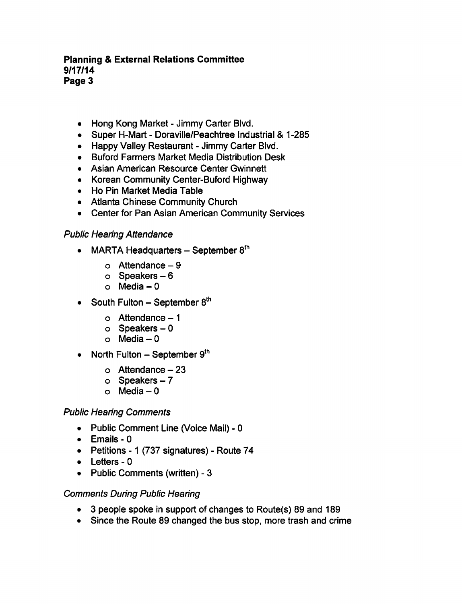### Planning External Relations Committee 9/17/14 Page 3

- Hong Kong Market Jimmy Carter Blvd.
- Super H-Mart Doraville/Peachtree Industrial & 1-285
- Happy Valley Restaurant Jimmy Carter Blyd.
- Buford Farmers Market Media Distribution Desk
- Asian American Resource Center Gwinnett
- Korean Community Center-Buford Highway
- Ho Pin Market Media Table
- Atlanta Chinese Community Church
- Center for Pan Asian American Community Services

### Public Hearing Attendance

- MARTA Headquarters  $-$  September 8<sup>th</sup>
	- $o$  Attendance  $-9$
	- $\circ$  Speakers  $-6$
	- o Media  $-0$
- South Fulton  $-$  September  $8<sup>th</sup>$ 
	- $\circ$  Attendance  $-1$
	- $o$  Speakers  $-0$
	- o Media  $-0$
- North Fulton  $-$  September  $9<sup>th</sup>$ 
	- $\circ$  Attendance  $-23$
	- $\circ$  Speakers  $-7$
	- $\circ$  Media  $-0$

### Public Hearing Comments

- Public Comment Line (Voice Mail) 0
- $\bullet$  Emails 0
- Petitions 1 (737 signatures) Route 74
- $\bullet$  Letters 0
- Public Comments (written) 3

### Comments During Public Hearing

- 3 people spoke in support of changes to Route(s) 89 and 189
- Since the Route 89 changed the bus stop, more trash and crime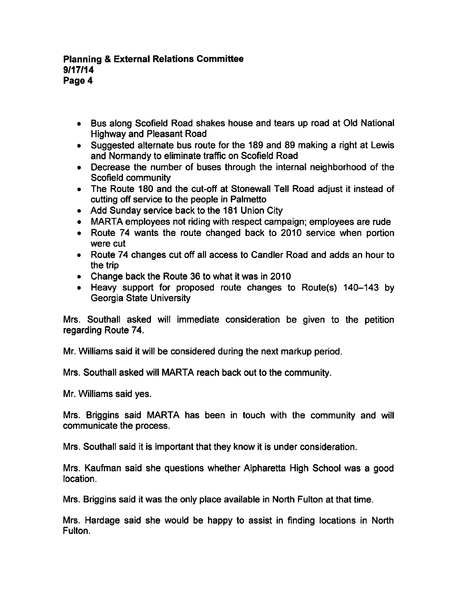### **Planning & External Relations Committee** 9/17/14 Page 4

- Bus along Scofield Road shakes house and tears up road at Old National Highway and Pleasant Road
- Suggested alternate bus route for the 189 and 89 making a right at Lewis and Normandy to eliminate traffic on Scofield Road
- Decrease the number of buses through the internal neighborhood of the Scofield community
- The Route 180 and the cut-off at Stonewall Tell Road adjust it instead of cutting off service to the people in Palmetto
- Add Sunday service back to the 181 Union City
- MARTA employees not riding with respect campaign; employees are rude
- Route 74 wants the route changed back to 2010 service when portion were cut
- Route 74 changes cut off all access to Candler Road and adds an hour to the trip
- Change back the Route 36 to what it was in 2010
- Heavy support for proposed route changes to Route(s) 140-143 by Georgia State University

Mrs. Southall asked will immediate consideration be given to the petition regarding Route 74.

Mr. Williams said it will be considered during the next markup period.

Mrs. Southall asked will MARTA reach back out to the community.

Mr. Williams said yes.

Mrs. Briggins said MARTA has been in touch with the community and will communicate the process.

Mrs. Southall said it is important that they know it is under consideration.

Mrs. Kaufman said she questions whether Alpharetta High School was a good location.

Mrs. Briggins said it was the only place available in North Fulton at that time.

Mrs. Hardage said she would be happy to assist in finding locations in North Fulton.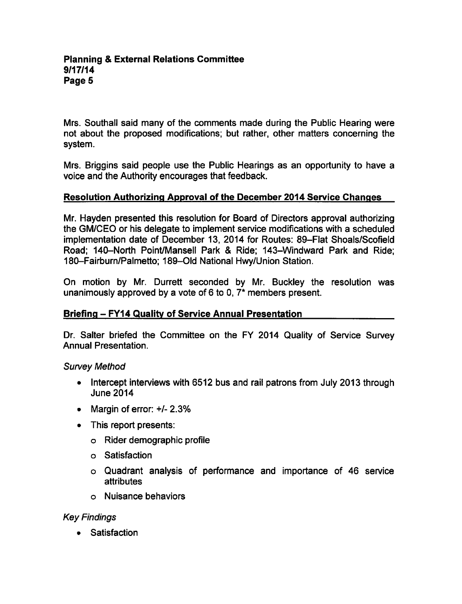Mrs. Southall said many of the comments made during the Public Hearing were not about the proposed modifications; but rather, other matters concerning the system.

Mrs. Briggins said people use the Public Hearings as an opportunity to have voice and the Authority encourages that feedback.

# Resolution Authorizing Approval of the December 2014 Service Changes

Mr. Hayden presented this resolution for Board of Directors approval authorizing the GM/CEO or his delegate to implement service modifications with a scheduled implementation date of December 13, 2014 for Routes: 89-Flat Shoals/Scofield Road; 140-North Point/Mansell Park & Ride; 143-Windward Park and Ride; 180-Fairburn/Palmetto; 189-Old National Hwy/Union Station.

On motion by Mr. Durrett seconded by Mr. Buckley the resolution was unanimously approved by a vote of 6 to 0,  $7*$  members present.

### Briefing – FY14 Quality of Service Annual Presentation

Dr. Salter briefed the Committee on the FY 2014 Quality of Service Survey Annual Presentation.

### Survey Method

- Intercept interviews with 6512 bus and rail patrons from July 2013 through June 2014
- Margin of error: +/- 2.3%
- This report presents:
	- Rider demographic profile
	- Satisfaction
	- Quadrant analysis of performance and importance of 46 service attributes
	- Nuisance behaviors

### Key Findings

**Satisfaction**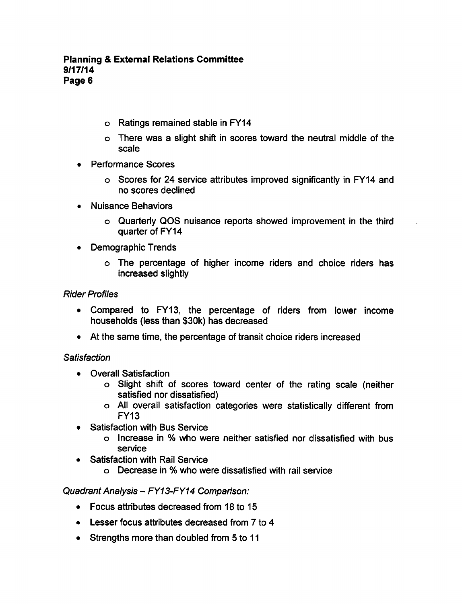- Ratings remained stable in FY14
- o There was a slight shift in scores toward the neutral middle of the scale
- Performance Scores
	- Scores for 24 service attributes improved significantly in FY14 and no scores declined
- Nuisance Behaviors  $\blacksquare$ 
	- Quarterly QOS nuisance reports showed improvement in the third quarter of FY14
- Demographic Trends
	- The percentage of higher income riders and choice riders has increased slightly

## Rider Profiles

- $\bullet$ Compared to FY13, the percentage of riders from lower income households (less than \$30k) has decreased
- At the same time, the percentage of transit choice riders increased

### **Satisfaction**

- Overall Satisfaction  $\bullet$ 
	- Slight shift of scores toward center of the rating scale (neither satisfied nor dissatisfied)
	- All overall satisfaction categories were statistically different from FY13
- Satisfaction with Bus Service  $\bullet$ 
	- Increase in who were neither satisfied nor dissatisfied with bus service
- Satisfaction with Rail Service
	- o Decrease in % who were dissatisfied with rail service

Quadrant Analysis - FY13-FY14 Comparison:

- Focus attributes decreased from 18 to 15
- $\bullet$  Lesser focus attributes decreased from 7 to 4
- $\bullet$  Strengths more than doubled from 5 to 11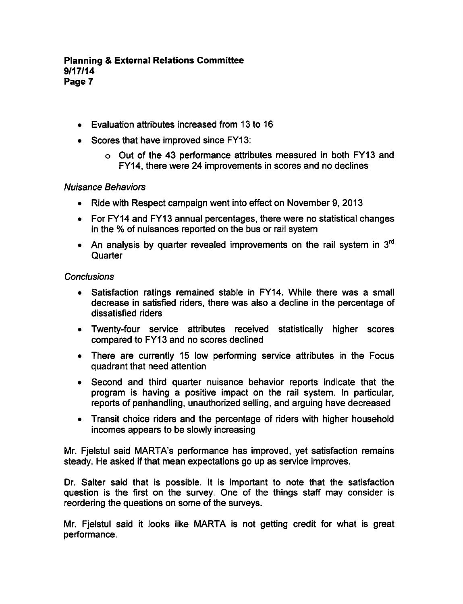#### **Planning & External Relations Committee** 9/17/14 Page 7

- Evaluation attributes increased from 13 to 16
- Scores that have improved since FY13:
	- Out of the 43 performance attributes measured in both FY13 and FY14, there were 24 improvements in scores and no declines

#### Nuisance Behaviors

- Ride with Respect campaign went into effect on November 9, 2013
- For FY14 and FY13 annual percentages, there were no statistical changes in the % of nuisances reported on the bus or rail system
- An analysis by quarter revealed improvements on the rail system in  $3<sup>rd</sup>$ **Quarter**

#### **Conclusions**

- Satisfaction ratings remained stable in FY14. While there was a small  $\bullet$ decrease in satisfied riders, there was also a decline in the percentage of dissatisfied riders
- Twenty-four service attributes received statistically higher scores compared to FY13 and no scores declined
- There are currently 15 low performing service attributes in the Focus quadrant that need attention
- Second and third quarter nuisance behavior reports indicate that the program is having a positive impact on the rail system. In particular, reports of panhandling, unauthorized selling, and arguing have decreased
- Transit choice riders and the percentage of riders with higher household incomes appears to be slowly increasing

Mr. Fjelstul said MARTA's performance has improved, yet satisfaction remains steady. He asked if that mean expectations go up as service improves.

Dr. Salter said that is possible. It is important to note that the satisfaction question is the first on the survey. One of the things staff may consider is reordering the questions on some of the surveys.

Mr. Fjelstul said it looks like MARTA is not getting credit for what is great performance.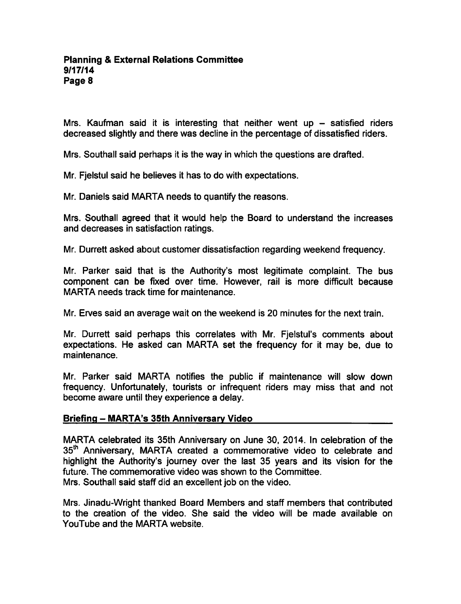Mrs. Kaufman said it is interesting that neither went up  $-$  satisfied riders decreased slightly and there was decline in the percentage of dissatisfied riders.

Mrs. Southall said perhaps it is the way in which the questions are drafted.

Mr. Fjelstul said he believes it has to do with expectations.

Mr. Daniels said MARTA needs to quantify the reasons.

Mrs. Southall agreed that it would help the Board to understand the increases and decreases in satisfaction ratings.

Mr. Durrett asked about customer dissatisfaction regarding weekend frequency.

Mr. Parker said that is the Authority's most legitimate complaint. The bus component can be fixed over time. However, rail is more difficult because MARTA needs track time for maintenance.

Mr. Erves said an average wait on the weekend is 20 minutes for the next train.

Mr. Durrett said perhaps this correlates with Mr. Fjelstul's comments about expectations. He asked can MARTA set the frequency for it may be, due to maintenance.

Mr. Parker said MARTA notifies the public if maintenance will slow down frequency. Unfortunately, tourists or infrequent riders may miss that and not become aware until they experience a delay.

## Briefing - MARTA's 35th Anniversary Video

MARTA celebrated its 35th Anniversary on June 30, 2014. In celebration of the 35<sup>th</sup> Anniversary, MARTA created a commemorative video to celebrate and highlight the Authority's journey over the last 35 years and its vision for the future. The commemorative video was shown to the Committee. Mrs. Southall said staff did an excellent job on the video.

Mrs. Jinadu-Wright thanked Board Members and staff members that contributed to the creation of the video. She said the video will be made available on YouTube and the MARTA website.